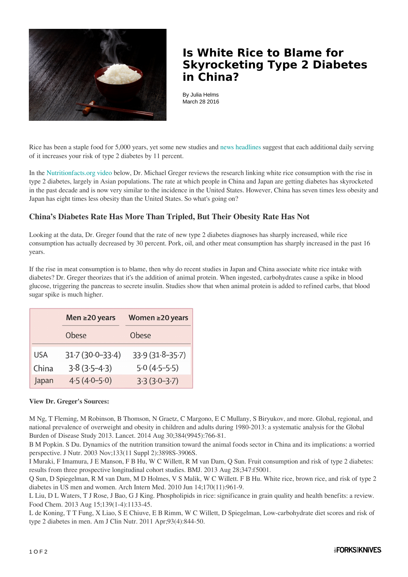

## **Is White Rice to Blame for Skyrocketing Type 2 Diabetes in China?**

By Julia Helms March 28 2016

Rice has been a staple food for 5,000 years, yet some new studies an[d news headlines](http://healthland.time.com/2012/03/16/study-does-eating-white-rice-raise-your-risk-of-diabetes/) suggest that each additional daily serving of it increases your risk of type 2 diabetes by 11 percent.

In the [Nutritionfacts.org video](http://nutritionfacts.org/video/if-white-rice-is-linked-to-diabetes-what-about-china/) below, Dr. Michael Greger reviews the research linking white rice consumption with the rise in type 2 diabetes, largely in Asian populations. The rate at which people in China and Japan are getting diabetes has skyrocketed in the past decade and is now very similar to the incidence in the United States. However, China has seven times less obesity and Japan has eight times less obesity than the United States. So what's going on?

## **China's Diabetes Rate Has More Than Tripled, But Their Obesity Rate Has Not**

Looking at the data, Dr. Greger found that the rate of new type 2 diabetes diagnoses has sharply increased, while rice consumption has actually decreased by 30 percent. Pork, oil, and other meat consumption has sharply increased in the past 16 years.

If the rise in meat consumption is to blame, then why do recent studies in Japan and China associate white rice intake with diabetes? Dr. Greger theorizes that it's the addition of animal protein. When ingested, carbohydrates cause a spike in blood glucose, triggering the pancreas to secrete insulin. Studies show that when animal protein is added to refined carbs, that blood sugar spike is much higher.

|            | Men ≥20 years       | Women $\geq$ 20 years |
|------------|---------------------|-----------------------|
|            | Obese               | Obese                 |
| <b>USA</b> | $31.7(30.0 - 33.4)$ | $33.9(31.8-35.7)$     |
| China      | $3.8(3.5-4.3)$      | $5.0(4.5-5.5)$        |
| Japan      | $4.5(4.0-5.0)$      | $3.3(3.0-3.7)$        |

## **View Dr. Greger's Sources:**

M Ng, T Fleming, M Robinson, B Thomson, N Graetz, C Margono, E C Mullany, S Biryukov, and more. Global, regional, and national prevalence of overweight and obesity in children and adults during 1980-2013: a systematic analysis for the Global Burden of Disease Study 2013. Lancet. 2014 Aug 30;384(9945):766-81.

B M Popkin. S Du. Dynamics of the nutrition transition toward the animal foods sector in China and its implications: a worried perspective. J Nutr. 2003 Nov;133(11 Suppl 2):3898S-3906S.

I Muraki, F Imamura, J E Manson, F B Hu, W C Willett, R M van Dam, Q Sun. Fruit consumption and risk of type 2 diabetes: results from three prospective longitudinal cohort studies. BMJ. 2013 Aug 28;347:f5001.

Q Sun, D Spiegelman, R M van Dam, M D Holmes, V S Malik, W C Willett. F B Hu. White rice, brown rice, and risk of type 2 diabetes in US men and women. Arch Intern Med. 2010 Jun 14;170(11):961-9.

L Liu, D L Waters, T J Rose, J Bao, G J King. Phospholipids in rice: significance in grain quality and health benefits: a review. Food Chem. 2013 Aug 15;139(1-4):1133-45.

L de Koning, T T Fung, X Liao, S E Chiuve, E B Rimm, W C Willett, D Spiegelman, Low-carbohydrate diet scores and risk of type 2 diabetes in men. Am J Clin Nutr. 2011 Apr;93(4):844-50.